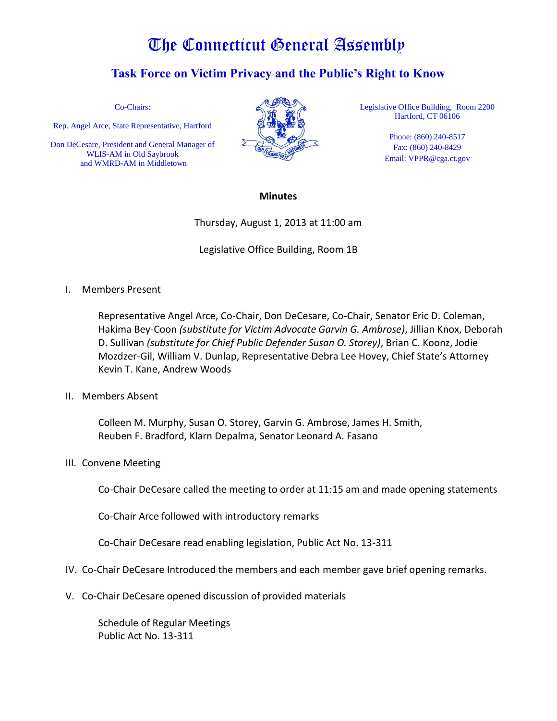## The Connecticut General Assembly

## **Task Force on Victim Privacy and the Public's Right to Know**

Co-Chairs:

Rep. Angel Arce, State Representative, Hartford

Don DeCesare, President and General Manager of WLIS-AM in Old Saybrook and WMRD-AM in Middletown



Legislative Office Building, Room 2200 Hartford, CT 06106

> Phone: (860) 240-8517 Fax: (860) 240-8429 Email: VPPR@cga.ct.gov

## **Minutes**

Thursday, August 1, 2013 at 11:00 am

Legislative Office Building, Room 1B

I. Members Present

Representative Angel Arce, Co-Chair, Don DeCesare, Co-Chair, Senator Eric D. Coleman, Hakima Bey-Coon *(substitute for Victim Advocate Garvin G. Ambrose)*, Jillian Knox, Deborah D. Sullivan *(substitute for Chief Public Defender Susan O. Storey)*, Brian C. Koonz, Jodie Mozdzer-Gil, William V. Dunlap, Representative Debra Lee Hovey, Chief State's Attorney Kevin T. Kane, Andrew Woods

II. Members Absent

Colleen M. Murphy, Susan O. Storey, Garvin G. Ambrose, James H. Smith, Reuben F. Bradford, Klarn Depalma, Senator Leonard A. Fasano

III. Convene Meeting

Co-Chair DeCesare called the meeting to order at 11:15 am and made opening statements

Co-Chair Arce followed with introductory remarks

Co-Chair DeCesare read enabling legislation, Public Act No. 13-311

- IV. Co-Chair DeCesare Introduced the members and each member gave brief opening remarks.
- V. Co-Chair DeCesare opened discussion of provided materials

Schedule of Regular Meetings Public Act No. 13-311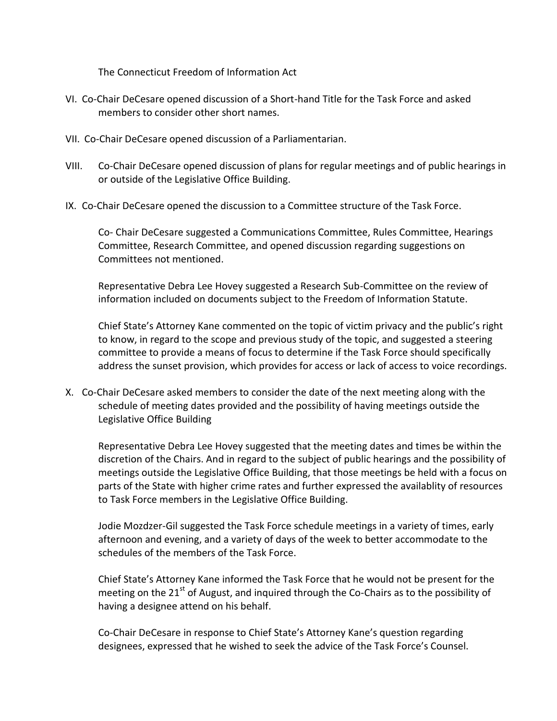The Connecticut Freedom of Information Act

- VI. Co-Chair DeCesare opened discussion of a Short-hand Title for the Task Force and asked members to consider other short names.
- VII. Co-Chair DeCesare opened discussion of a Parliamentarian.
- VIII. Co-Chair DeCesare opened discussion of plans for regular meetings and of public hearings in or outside of the Legislative Office Building.
- IX. Co-Chair DeCesare opened the discussion to a Committee structure of the Task Force.

Co- Chair DeCesare suggested a Communications Committee, Rules Committee, Hearings Committee, Research Committee, and opened discussion regarding suggestions on Committees not mentioned.

Representative Debra Lee Hovey suggested a Research Sub-Committee on the review of information included on documents subject to the Freedom of Information Statute.

Chief State's Attorney Kane commented on the topic of victim privacy and the public's right to know, in regard to the scope and previous study of the topic, and suggested a steering committee to provide a means of focus to determine if the Task Force should specifically address the sunset provision, which provides for access or lack of access to voice recordings.

X. Co-Chair DeCesare asked members to consider the date of the next meeting along with the schedule of meeting dates provided and the possibility of having meetings outside the Legislative Office Building

Representative Debra Lee Hovey suggested that the meeting dates and times be within the discretion of the Chairs. And in regard to the subject of public hearings and the possibility of meetings outside the Legislative Office Building, that those meetings be held with a focus on parts of the State with higher crime rates and further expressed the availablity of resources to Task Force members in the Legislative Office Building.

Jodie Mozdzer-Gil suggested the Task Force schedule meetings in a variety of times, early afternoon and evening, and a variety of days of the week to better accommodate to the schedules of the members of the Task Force.

Chief State's Attorney Kane informed the Task Force that he would not be present for the meeting on the  $21<sup>st</sup>$  of August, and inquired through the Co-Chairs as to the possibility of having a designee attend on his behalf.

Co-Chair DeCesare in response to Chief State's Attorney Kane's question regarding designees, expressed that he wished to seek the advice of the Task Force's Counsel.